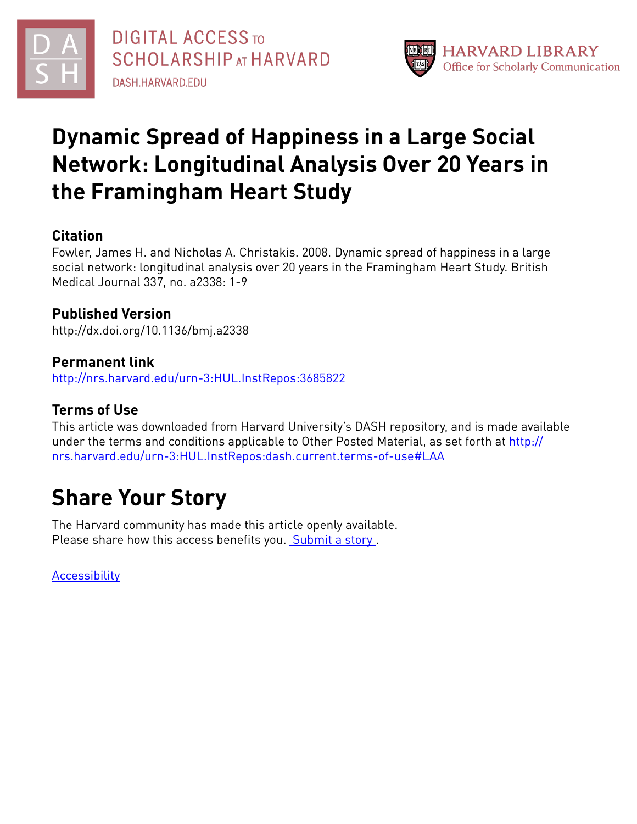

## **Dynamic Spread of Happiness in a Large Social Network: Longitudinal Analysis Over 20 Years in the Framingham Heart Study**

## **Citation**

Fowler, James H. and Nicholas A. Christakis. 2008. Dynamic spread of happiness in a large social network: longitudinal analysis over 20 years in the Framingham Heart Study. British Medical Journal 337, no. a2338: 1-9

## **Published Version**

http://dx.doi.org/10.1136/bmj.a2338

## **Permanent link**

<http://nrs.harvard.edu/urn-3:HUL.InstRepos:3685822>

## **Terms of Use**

This article was downloaded from Harvard University's DASH repository, and is made available under the terms and conditions applicable to Other Posted Material, as set forth at [http://](http://nrs.harvard.edu/urn-3:HUL.InstRepos:dash.current.terms-of-use#LAA) [nrs.harvard.edu/urn-3:HUL.InstRepos:dash.current.terms-of-use#LAA](http://nrs.harvard.edu/urn-3:HUL.InstRepos:dash.current.terms-of-use#LAA)

# **Share Your Story**

The Harvard community has made this article openly available. Please share how this access benefits you. [Submit](http://osc.hul.harvard.edu/dash/open-access-feedback?handle=&title=Dynamic%20Spread%20of%20Happiness%20in%20a%20Large%20Social%20Network:%20Longitudinal%20Analysis%20Over%2020%20Years%20in%20the%20Framingham%20Heart%20Study&community=1/1&collection=1/2&owningCollection1/2&harvardAuthors=3f0ce9e9eb2a5ad74128dc00063dde6c&departmentSociology) a story.

[Accessibility](https://dash.harvard.edu/pages/accessibility)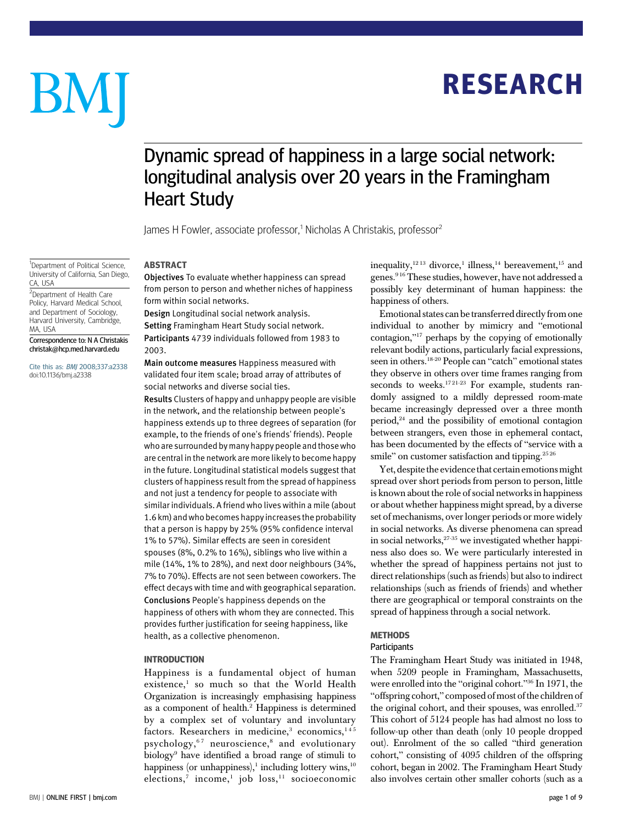# RESEARCH

# BM

## Dynamic spread of happiness in a large social network: longitudinal analysis over 20 years in the Framingham Heart Study

James H Fowler, associate professor,<sup>1</sup> Nicholas A Christakis, professor<sup>2</sup>

------------<br>Objectives To evaluate whether happiness can spread from person to person and whether niches of happiness form within social networks.

Design Longitudinal social network analysis.

Setting Framingham Heart Study social network. Participants 4739 individuals followed from 1983 to 2003.

Main outcome measures Happiness measured with validated four item scale; broad array of attributes of social networks and diverse social ties.

Results Clusters of happy and unhappy people are visible in the network, and the relationship between people's happiness extends up to three degrees of separation (for example, to the friends of one's friends' friends). People who are surrounded by many happy people and those who are central in the network are more likely to become happy in the future. Longitudinal statistical models suggest that clusters of happiness result from the spread of happiness and not just a tendency for people to associate with similar individuals. A friend who lives within a mile (about 1.6 km) and who becomes happy increases the probability that a person is happy by 25% (95% confidence interval 1% to 57%). Similar effects are seen in coresident spouses (8%, 0.2% to 16%), siblings who live within a mile (14%, 1% to 28%), and next door neighbours (34%, 7% to 70%). Effects are not seen between coworkers. The effect decays with time and with geographical separation. Conclusions People's happiness depends on the happiness of others with whom they are connected. This provides further justification for seeing happiness, like health, as a collective phenomenon.

### **INTRODUCTION**

Happiness is a fundamental object of human existence,<sup>1</sup> so much so that the World Health Organization is increasingly emphasising happiness as a component of health.<sup>2</sup> Happiness is determined by a complex set of voluntary and involuntary factors. Researchers in medicine,<sup>3</sup> economics,<sup>145</sup> psychology,  $67$  neuroscience, $8$  and evolutionary biology9 have identified a broad range of stimuli to happiness (or unhappiness),<sup>1</sup> including lottery wins,<sup>10</sup> elections,<sup>7</sup> income,<sup>1</sup> job loss,<sup>11</sup> socioeconomic inequality, $1213$  divorce,<sup>1</sup> illness, $14$  bereavement, $15$  and genes.9 16These studies, however, have not addressed a possibly key determinant of human happiness: the happiness of others.

Emotional states can be transferred directly from one individual to another by mimicry and "emotional contagion,"<sup>17</sup> perhaps by the copying of emotionally relevant bodily actions, particularly facial expressions, seen in others.18-20 People can "catch" emotional states they observe in others over time frames ranging from seconds to weeks.<sup>1721-23</sup> For example, students randomly assigned to a mildly depressed room-mate became increasingly depressed over a three month period,<sup>24</sup> and the possibility of emotional contagion between strangers, even those in ephemeral contact, has been documented by the effects of "service with a smile" on customer satisfaction and tipping.<sup>2526</sup>

Yet, despite the evidence that certain emotions might spread over short periods from person to person, little is known about the role of social networks in happiness or about whether happiness might spread, by a diverse set of mechanisms, over longer periods or more widely in social networks. As diverse phenomena can spread in social networks, $27-35$  we investigated whether happiness also does so. We were particularly interested in whether the spread of happiness pertains not just to direct relationships (such as friends) but also to indirect relationships (such as friends of friends) and whether there are geographical or temporal constraints on the spread of happiness through a social network.

### Participants

The Framingham Heart Study was initiated in 1948, when 5209 people in Framingham, Massachusetts, were enrolled into the "original cohort."<sup>36</sup> In 1971, the "offspring cohort," composed of most of the children of the original cohort, and their spouses, was enrolled.<sup>37</sup> This cohort of 5124 people has had almost no loss to follow-up other than death (only 10 people dropped out). Enrolment of the so called "third generation cohort," consisting of 4095 children of the offspring cohort, began in 2002. The Framingham Heart Study also involves certain other smaller cohorts (such as a

<sup>1</sup>Department of Political Science, University of California, San Diego, CA, USA

<sup>2</sup>Department of Health Care Policy, Harvard Medical School, and Department of Sociology, Harvard University, Cambridge, MA, USA

Correspondence to: N A Christakis christak@hcp.med.harvard.edu

Cite this as: BMJ 2008;337:a2338 doi:10.1136/bmj.a2338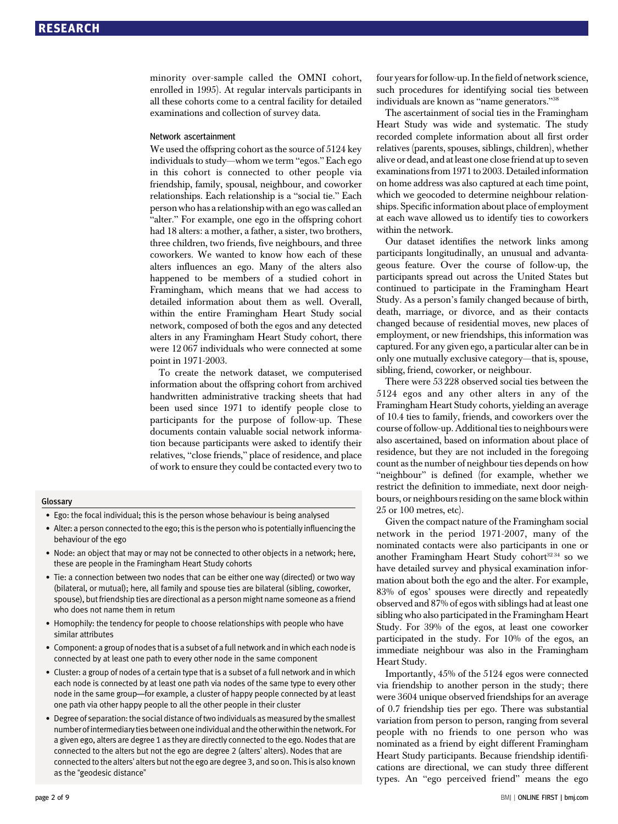minority over-sample called the OMNI cohort, enrolled in 1995). At regular intervals participants in all these cohorts come to a central facility for detailed examinations and collection of survey data.

#### Network ascertainment

We used the offspring cohort as the source of 5124 key individuals to study—whom we term "egos." Each ego in this cohort is connected to other people via friendship, family, spousal, neighbour, and coworker relationships. Each relationship is a "social tie." Each person who has a relationship with an ego was called an "alter." For example, one ego in the offspring cohort had 18 alters: a mother, a father, a sister, two brothers, three children, two friends, five neighbours, and three coworkers. We wanted to know how each of these alters influences an ego. Many of the alters also happened to be members of a studied cohort in Framingham, which means that we had access to detailed information about them as well. Overall, within the entire Framingham Heart Study social network, composed of both the egos and any detected alters in any Framingham Heart Study cohort, there were 12 067 individuals who were connected at some point in 1971-2003.

To create the network dataset, we computerised information about the offspring cohort from archived handwritten administrative tracking sheets that had been used since 1971 to identify people close to participants for the purpose of follow-up. These documents contain valuable social network information because participants were asked to identify their relatives, "close friends," place of residence, and place of work to ensure they could be contacted every two to

#### Glossary

- Ego: the focal individual; this is the person whose behaviour is being analysed
- Alter: a person connected to the ego; this is the person who is potentially influencing the behaviour of the ego
- Node: an object that may or may not be connected to other objects in a network; here, these are people in the Framingham Heart Study cohorts
- Tie: a connection between two nodes that can be either one way (directed) or two way (bilateral, or mutual); here, all family and spouse ties are bilateral (sibling, coworker, spouse), but friendship ties are directional as a person might name someone as a friend who does not name them in return
- Homophily: the tendency for people to choose relationships with people who have similar attributes
- Component: a group of nodes that is a subset of afull network and in which each node is connected by at least one path to every other node in the same component
- Cluster: a group of nodes of a certain type that is a subset of a full network and in which each node is connected by at least one path via nodes of the same type to every other node in the same group—for example, a cluster of happy people connected by at least one path via other happy people to all the other people in their cluster
- Degree of separation: the social distance of two individuals as measured by the smallest number ofintermediary ties between oneindividual and the otherwithin the network. For a given ego, alters are degree 1 as they are directly connected to the ego. Nodes that are connected to the alters but not the ego are degree 2 (alters' alters). Nodes that are connected to the alters' alters but not the ego are degree 3, and so on. This is also known as the "geodesic distance"

four years for follow-up. In the field of network science, such procedures for identifying social ties between individuals are known as "name generators."<sup>38</sup>

The ascertainment of social ties in the Framingham Heart Study was wide and systematic. The study recorded complete information about all first order relatives (parents, spouses, siblings, children), whether alive or dead, and at least one close friend at up to seven examinations from 1971 to 2003. Detailed information on home address was also captured at each time point, which we geocoded to determine neighbour relationships. Specific information about place of employment at each wave allowed us to identify ties to coworkers within the network.

Our dataset identifies the network links among participants longitudinally, an unusual and advantageous feature. Over the course of follow-up, the participants spread out across the United States but continued to participate in the Framingham Heart Study. As a person's family changed because of birth, death, marriage, or divorce, and as their contacts changed because of residential moves, new places of employment, or new friendships, this information was captured. For any given ego, a particular alter can be in only one mutually exclusive category—that is, spouse, sibling, friend, coworker, or neighbour.

There were 53 228 observed social ties between the 5124 egos and any other alters in any of the Framingham Heart Study cohorts, yielding an average of 10.4 ties to family, friends, and coworkers over the course of follow-up. Additional ties to neighbours were also ascertained, based on information about place of residence, but they are not included in the foregoing count as the number of neighbour ties depends on how "neighbour" is defined (for example, whether we restrict the definition to immediate, next door neighbours, or neighbours residing on the same block within 25 or 100 metres, etc).

Given the compact nature of the Framingham social network in the period 1971-2007, many of the nominated contacts were also participants in one or another Framingham Heart Study cohort<sup>3234</sup> so we have detailed survey and physical examination information about both the ego and the alter. For example, 83% of egos' spouses were directly and repeatedly observed and 87% of egos with siblings had at least one sibling who also participated in the Framingham Heart Study. For 39% of the egos, at least one coworker participated in the study. For 10% of the egos, an immediate neighbour was also in the Framingham Heart Study.

Importantly, 45% of the 5124 egos were connected via friendship to another person in the study; there were 3604 unique observed friendships for an average of 0.7 friendship ties per ego. There was substantial variation from person to person, ranging from several people with no friends to one person who was nominated as a friend by eight different Framingham Heart Study participants. Because friendship identifications are directional, we can study three different types. An "ego perceived friend" means the ego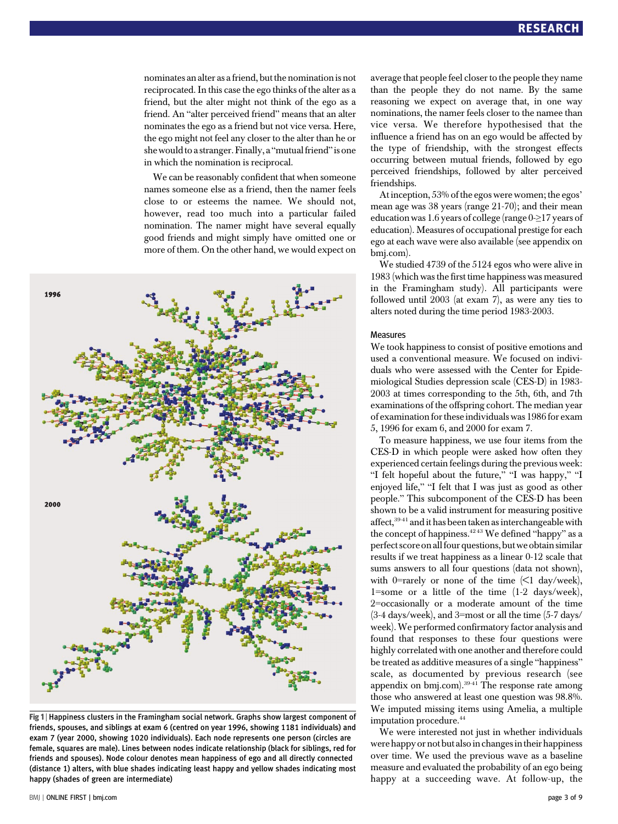nominates an alter as a friend, but the nomination is not reciprocated. In this case the ego thinks of the alter as a friend, but the alter might not think of the ego as a friend. An "alter perceived friend" means that an alter nominates the ego as a friend but not vice versa. Here, the ego might not feel any closer to the alter than he or she would to a stranger. Finally, a "mutual friend" is one in which the nomination is reciprocal.

We can be reasonably confident that when someone names someone else as a friend, then the namer feels close to or esteems the namee. We should not, however, read too much into a particular failed nomination. The namer might have several equally good friends and might simply have omitted one or more of them. On the other hand, we would expect on



Fig 1 | Happiness clusters in the Framingham social network. Graphs show largest component of friends, spouses, and siblings at exam 6 (centred on year 1996, showing 1181 individuals) and exam 7 (year 2000, showing 1020 individuals). Each node represents one person (circles are female, squares are male). Lines between nodes indicate relationship (black for siblings, red for friends and spouses). Node colour denotes mean happiness of ego and all directly connected (distance 1) alters, with blue shades indicating least happy and yellow shades indicating most happy (shades of green are intermediate)

average that people feel closer to the people they name than the people they do not name. By the same reasoning we expect on average that, in one way nominations, the namer feels closer to the namee than vice versa. We therefore hypothesised that the influence a friend has on an ego would be affected by the type of friendship, with the strongest effects occurring between mutual friends, followed by ego perceived friendships, followed by alter perceived friendships.

At inception, 53% of the egos were women; the egos' mean age was 38 years (range 21-70); and their mean education was 1.6 years of college (range 0-≥17 years of education). Measures of occupational prestige for each ego at each wave were also available (see appendix on bmj.com).

We studied 4739 of the 5124 egos who were alive in 1983 (which was the first time happiness was measured in the Framingham study). All participants were followed until 2003 (at exam 7), as were any ties to alters noted during the time period 1983-2003.

#### Measures

We took happiness to consist of positive emotions and used a conventional measure. We focused on individuals who were assessed with the Center for Epidemiological Studies depression scale (CES-D) in 1983- 2003 at times corresponding to the 5th, 6th, and 7th examinations of the offspring cohort. The median year of examination for these individuals was 1986 for exam 5, 1996 for exam 6, and 2000 for exam 7.

To measure happiness, we use four items from the CES-D in which people were asked how often they experienced certain feelings during the previous week: "I felt hopeful about the future," "I was happy," "I enjoyed life," "I felt that I was just as good as other people." This subcomponent of the CES-D has been shown to be a valid instrument for measuring positive affect,39-41 and it has been taken as interchangeable with the concept of happiness.<sup>4243</sup> We defined "happy" as a perfect score on allfour questions, but we obtain similar results if we treat happiness as a linear 0-12 scale that sums answers to all four questions (data not shown), with 0=rarely or none of the time  $\leq 1$  day/week), 1=some or a little of the time (1-2 days/week), 2=occasionally or a moderate amount of the time (3-4 days/week), and 3=most or all the time (5-7 days/ week).We performed confirmatory factor analysis and found that responses to these four questions were highly correlated with one another and therefore could be treated as additive measures of a single "happiness" scale, as documented by previous research (see appendix on bmj.com). $39-41$  The response rate among those who answered at least one question was 98.8%. We imputed missing items using Amelia, a multiple imputation procedure.<sup>44</sup>

We were interested not just in whether individuals were happy or not but also in changesintheir happiness over time. We used the previous wave as a baseline measure and evaluated the probability of an ego being happy at a succeeding wave. At follow-up, the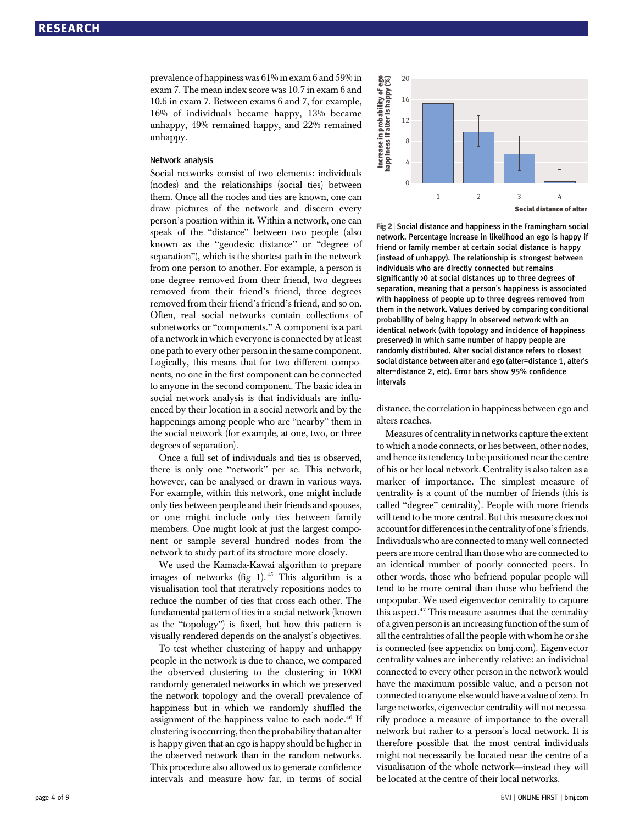prevalence of happiness was 61% in exam 6 and 59% in exam 7. The mean index score was 10.7 in exam 6 and 10.6 in exam 7. Between exams 6 and 7, for example, 16% of individuals became happy, 13% became unhappy, 49% remained happy, and 22% remained unhappy.

#### Network analysis

Social networks consist of two elements: individuals (nodes) and the relationships (social ties) between them. Once all the nodes and ties are known, one can draw pictures of the network and discern every person's position within it. Within a network, one can speak of the "distance" between two people (also known as the "geodesic distance" or "degree of separation"), which is the shortest path in the network from one person to another. For example, a person is one degree removed from their friend, two degrees removed from their friend's friend, three degrees removed from their friend's friend's friend, and so on. Often, real social networks contain collections of subnetworks or "components." A component is a part of a network in which everyone is connected by at least one path to every other person in the same component. Logically, this means that for two different components, no one in the first component can be connected to anyone in the second component. The basic idea in social network analysis is that individuals are influenced by their location in a social network and by the happenings among people who are "nearby" them in the social network (for example, at one, two, or three degrees of separation).

Once a full set of individuals and ties is observed, there is only one "network" per se. This network, however, can be analysed or drawn in various ways. For example, within this network, one might include only ties between people and their friends and spouses, or one might include only ties between family members. One might look at just the largest component or sample several hundred nodes from the network to study part of its structure more closely.

We used the Kamada-Kawai algorithm to prepare images of networks (fig 1). <sup>45</sup> This algorithm is a visualisation tool that iteratively repositions nodes to reduce the number of ties that cross each other. The fundamental pattern of ties in a social network (known as the "topology") is fixed, but how this pattern is visually rendered depends on the analyst's objectives.

To test whether clustering of happy and unhappy people in the network is due to chance, we compared the observed clustering to the clustering in 1000 randomly generated networks in which we preserved the network topology and the overall prevalence of happiness but in which we randomly shuffled the assignment of the happiness value to each node.<sup>46</sup> If clustering is occurring, then the probability that an alter is happy given that an ego is happy should be higher in the observed network than in the random networks. This procedure also allowed us to generate confidence intervals and measure how far, in terms of social



Fig 2 <sup>|</sup> Social distance and happiness in the Framingham social network. Percentage increase in likelihood an ego is happy if friend or family member at certain social distance is happy (instead of unhappy). The relationship is strongest between individuals who are directly connected but remains significantly >0 at social distances up to three degrees of separation, meaning that a person's happiness is associated with happiness of people up to three degrees removed from them in the network. Values derived by comparing conditional probability of being happy in observed network with an identical network (with topology and incidence of happiness preserved) in which same number of happy people are randomly distributed. Alter social distance refers to closest social distance between alter and ego (alter=distance 1, alter's alter=distance 2, etc). Error bars show 95% confidence intervals

distance, the correlation in happiness between ego and alters reaches.

Measures of centrality in networks capture the extent to which a node connects, or lies between, other nodes, and hence its tendency to be positioned near the centre of his or her local network. Centrality is also taken as a marker of importance. The simplest measure of centrality is a count of the number of friends (this is called "degree" centrality). People with more friends will tend to be more central. But this measure does not account for differences in the centrality of one's friends. Individuals who are connected to many well connected peers are more central than those who are connected to an identical number of poorly connected peers. In other words, those who befriend popular people will tend to be more central than those who befriend the unpopular. We used eigenvector centrality to capture this aspect.47 This measure assumes that the centrality of a given person is an increasing function of the sum of all the centralities of all the people with whom he or she is connected (see appendix on bmj.com). Eigenvector centrality values are inherently relative: an individual connected to every other person in the network would have the maximum possible value, and a person not connected to anyone else would have a value of zero. In large networks, eigenvector centrality will not necessarily produce a measure of importance to the overall network but rather to a person's local network. It is therefore possible that the most central individuals might not necessarily be located near the centre of a visualisation of the whole network—instead they will be located at the centre of their local networks.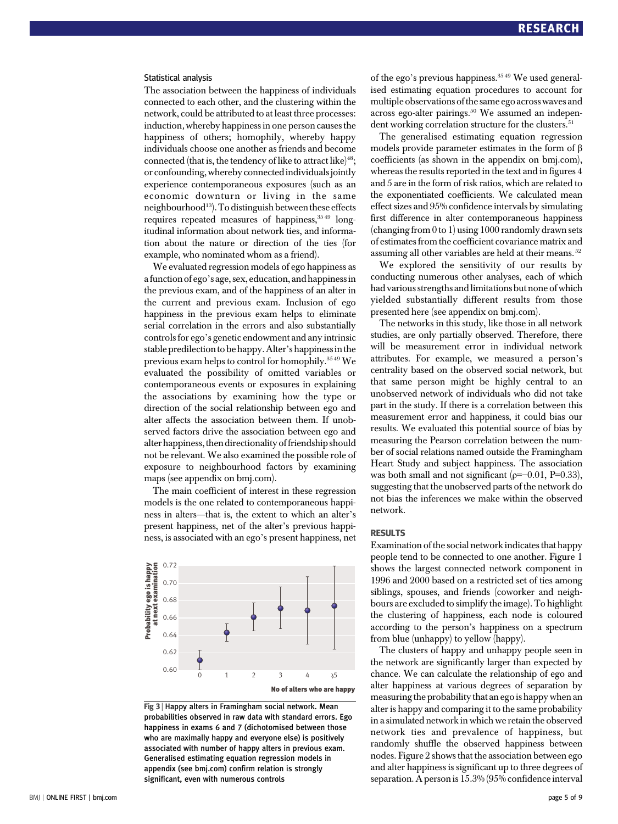#### Statistical analysis

The association between the happiness of individuals connected to each other, and the clustering within the network, could be attributed to at least three processes: induction, whereby happiness in one person causes the happiness of others; homophily, whereby happy individuals choose one another as friends and become connected (that is, the tendency of like to attract like) $48$ ; or confounding, whereby connectedindividuals jointly experience contemporaneous exposures (such as an economic downturn or living in the same neighbourhood<sup>13</sup>). To distinguish between these effects requires repeated measures of happiness,  $3549$  longitudinal information about network ties, and information about the nature or direction of the ties (for example, who nominated whom as a friend).

We evaluated regression models of ego happiness as afunction of ego's age, sex, education, and happinessin the previous exam, and of the happiness of an alter in the current and previous exam. Inclusion of ego happiness in the previous exam helps to eliminate serial correlation in the errors and also substantially controls for ego's genetic endowment and any intrinsic stable predilectionto be happy. Alter's happinessinthe previous exam helps to control for homophily.35 49 We evaluated the possibility of omitted variables or contemporaneous events or exposures in explaining the associations by examining how the type or direction of the social relationship between ego and alter affects the association between them. If unobserved factors drive the association between ego and alter happiness, then directionality of friendship should not be relevant. We also examined the possible role of exposure to neighbourhood factors by examining maps (see appendix on bmj.com).

The main coefficient of interest in these regression models is the one related to contemporaneous happiness in alters—that is, the extent to which an alter's present happiness, net of the alter's previous happiness, is associated with an ego's present happiness, net





of the ego's previous happiness. $3549$  We used generalised estimating equation procedures to account for multiple observations ofthe same ego across waves and across ego-alter pairings. $50$  We assumed an independent working correlation structure for the clusters.<sup>51</sup>

The generalised estimating equation regression models provide parameter estimates in the form of β coefficients (as shown in the appendix on bmj.com), whereas the results reported in the text and in figures 4 and 5 are in the form of risk ratios, which are related to the exponentiated coefficients. We calculated mean effect sizes and 95% confidence intervals by simulating first difference in alter contemporaneous happiness (changing from 0 to 1) using 1000 randomly drawn sets of estimates from the coefficient covariance matrix and assuming all other variables are held at their means. <sup>52</sup>

We explored the sensitivity of our results by conducting numerous other analyses, each of which had various strengths and limitations but none of which yielded substantially different results from those presented here (see appendix on bmj.com).

The networks in this study, like those in all network studies, are only partially observed. Therefore, there will be measurement error in individual network attributes. For example, we measured a person's centrality based on the observed social network, but that same person might be highly central to an unobserved network of individuals who did not take part in the study. If there is a correlation between this measurement error and happiness, it could bias our results. We evaluated this potential source of bias by measuring the Pearson correlation between the number of social relations named outside the Framingham Heart Study and subject happiness. The association was both small and not significant ( $p=-0.01$ , P=0.33), suggesting that the unobserved parts of the network do not bias the inferences we make within the observed network.

Examination of the social network indicates that happy people tend to be connected to one another. Figure 1 shows the largest connected network component in 1996 and 2000 based on a restricted set of ties among siblings, spouses, and friends (coworker and neighbours are excluded to simplify the image). To highlight the clustering of happiness, each node is coloured according to the person's happiness on a spectrum from blue (unhappy) to yellow (happy).

The clusters of happy and unhappy people seen in the network are significantly larger than expected by chance. We can calculate the relationship of ego and alter happiness at various degrees of separation by measuring the probability that an ego is happy when an alter is happy and comparing it to the same probability in a simulated network in which we retain the observed network ties and prevalence of happiness, but randomly shuffle the observed happiness between nodes. Figure 2 shows that the association between ego and alter happiness is significant up to three degrees of separation. A person is 15.3% (95% confidence interval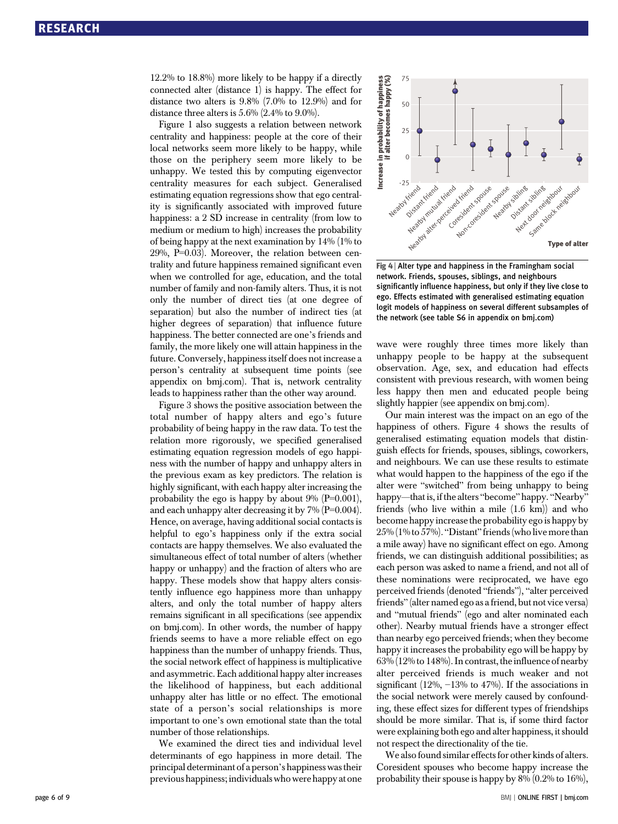12.2% to 18.8%) more likely to be happy if a directly connected alter (distance 1) is happy. The effect for distance two alters is 9.8% (7.0% to 12.9%) and for distance three alters is 5.6% (2.4% to 9.0%).

Figure 1 also suggests a relation between network centrality and happiness: people at the core of their local networks seem more likely to be happy, while those on the periphery seem more likely to be unhappy. We tested this by computing eigenvector centrality measures for each subject. Generalised estimating equation regressions show that ego centrality is significantly associated with improved future happiness: a 2 SD increase in centrality (from low to medium or medium to high) increases the probability of being happy at the next examination by 14% (1% to 29%, P=0.03). Moreover, the relation between centrality and future happiness remained significant even when we controlled for age, education, and the total number of family and non-family alters. Thus, it is not only the number of direct ties (at one degree of separation) but also the number of indirect ties (at higher degrees of separation) that influence future happiness. The better connected are one's friends and family, the more likely one will attain happiness in the future. Conversely, happiness itself does not increase a person's centrality at subsequent time points (see appendix on bmj.com). That is, network centrality leads to happiness rather than the other way around.

Figure 3 shows the positive association between the total number of happy alters and ego's future probability of being happy in the raw data. To test the relation more rigorously, we specified generalised estimating equation regression models of ego happiness with the number of happy and unhappy alters in the previous exam as key predictors. The relation is highly significant, with each happy alter increasing the probability the ego is happy by about  $9\%$  (P=0.001), and each unhappy alter decreasing it by 7% (P=0.004). Hence, on average, having additional social contacts is helpful to ego's happiness only if the extra social contacts are happy themselves. We also evaluated the simultaneous effect of total number of alters (whether happy or unhappy) and the fraction of alters who are happy. These models show that happy alters consistently influence ego happiness more than unhappy alters, and only the total number of happy alters remains significant in all specifications (see appendix on bmj.com). In other words, the number of happy friends seems to have a more reliable effect on ego happiness than the number of unhappy friends. Thus, the social network effect of happiness is multiplicative and asymmetric. Each additional happy alter increases the likelihood of happiness, but each additional unhappy alter has little or no effect. The emotional state of a person's social relationships is more important to one's own emotional state than the total number of those relationships.

We examined the direct ties and individual level determinants of ego happiness in more detail. The principal determinant of a person's happiness was their previous happiness; individuals who were happy at one



Fig 4 <sup>|</sup> Alter type and happiness in the Framingham social network. Friends, spouses, siblings, and neighbours significantly influence happiness, but only if they live close to ego. Effects estimated with generalised estimating equation logit models of happiness on several different subsamples of the network (see table S6 in appendix on bmj.com)

wave were roughly three times more likely than unhappy people to be happy at the subsequent observation. Age, sex, and education had effects consistent with previous research, with women being less happy then men and educated people being slightly happier (see appendix on bmj.com).

Our main interest was the impact on an ego of the happiness of others. Figure 4 shows the results of generalised estimating equation models that distinguish effects for friends, spouses, siblings, coworkers, and neighbours. We can use these results to estimate what would happen to the happiness of the ego if the alter were "switched" from being unhappy to being happy—that is, if the alters "become" happy. "Nearby" friends (who live within a mile (1.6 km)) and who become happy increase the probability ego is happy by 25% (1% to 57%). "Distant" friends(who live more than a mile away) have no significant effect on ego. Among friends, we can distinguish additional possibilities; as each person was asked to name a friend, and not all of these nominations were reciprocated, we have ego perceived friends (denoted "friends"), "alter perceived friends" (alter named ego as a friend, but not vice versa) and "mutual friends" (ego and alter nominated each other). Nearby mutual friends have a stronger effect than nearby ego perceived friends; when they become happy it increases the probability ego will be happy by  $63\%$  (12% to 148%). In contrast, the influence of nearby alter perceived friends is much weaker and not significant (12%, −13% to 47%). If the associations in the social network were merely caused by confounding, these effect sizes for different types of friendships should be more similar. That is, if some third factor were explaining both ego and alter happiness, it should not respect the directionality of the tie.

We also found similar effects for other kinds of alters. Coresident spouses who become happy increase the probability their spouse is happy by 8% (0.2% to 16%),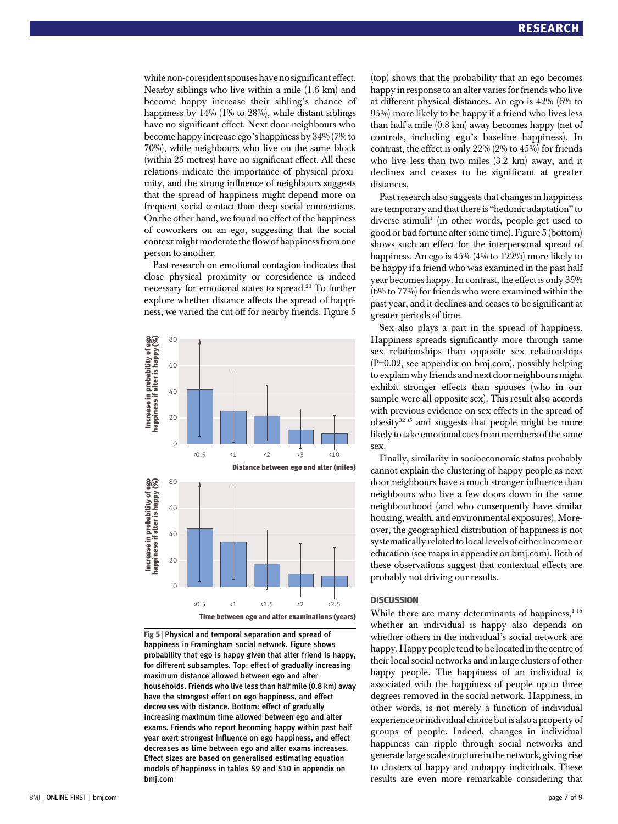while non-coresident spouses have no significant effect. Nearby siblings who live within a mile (1.6 km) and become happy increase their sibling's chance of happiness by 14% (1% to 28%), while distant siblings have no significant effect. Next door neighbours who become happy increase ego's happiness by 34% (7% to 70%), while neighbours who live on the same block (within 25 metres) have no significant effect. All these relations indicate the importance of physical proximity, and the strong influence of neighbours suggests that the spread of happiness might depend more on frequent social contact than deep social connections. On the other hand, we found no effect of the happiness of coworkers on an ego, suggesting that the social context might moderate the flow of happiness from one person to another.

Past research on emotional contagion indicates that close physical proximity or coresidence is indeed necessary for emotional states to spread.23 To further explore whether distance affects the spread of happiness, we varied the cut off for nearby friends. Figure 5





(top) shows that the probability that an ego becomes happy in response to an alter varies for friends who live at different physical distances. An ego is 42% (6% to 95%) more likely to be happy if a friend who lives less than half a mile (0.8 km) away becomes happy (net of controls, including ego's baseline happiness). In contrast, the effect is only 22% (2% to 45%) for friends who live less than two miles (3.2 km) away, and it declines and ceases to be significant at greater distances.

Past research also suggests that changes in happiness are temporary and that there is "hedonic adaptation" to diverse stimuli4 (in other words, people get used to good or bad fortune after some time). Figure 5 (bottom) shows such an effect for the interpersonal spread of happiness. An ego is 45% (4% to 122%) more likely to be happy if a friend who was examined in the past half year becomes happy. In contrast, the effect is only 35% (6% to 77%) for friends who were examined within the past year, and it declines and ceases to be significant at greater periods of time.

Sex also plays a part in the spread of happiness. Happiness spreads significantly more through same sex relationships than opposite sex relationships (P=0.02, see appendix on bmj.com), possibly helping to explain why friends and next door neighbours might exhibit stronger effects than spouses (who in our sample were all opposite sex). This result also accords with previous evidence on sex effects in the spread of  $\omega$ <sub>0</sub>besity<sup>32,35</sup> and suggests that people might be more likely to take emotional cues from members of the same sex.

Finally, similarity in socioeconomic status probably cannot explain the clustering of happy people as next door neighbours have a much stronger influence than neighbours who live a few doors down in the same neighbourhood (and who consequently have similar housing, wealth, and environmental exposures).Moreover, the geographical distribution of happiness is not systematically related to local levels of either income or education (see maps in appendix on bmj.com). Both of these observations suggest that contextual effects are probably not driving our results.

While there are many determinants of happiness,<sup>1-15</sup> whether an individual is happy also depends on whether others in the individual's social network are happy. Happy people tend to be located in the centre of their local social networks and in large clusters of other happy people. The happiness of an individual is associated with the happiness of people up to three degrees removed in the social network. Happiness, in other words, is not merely a function of individual experience or individual choice but is also a property of groups of people. Indeed, changes in individual happiness can ripple through social networks and generate large scale structure in the network, giving rise to clusters of happy and unhappy individuals. These results are even more remarkable considering that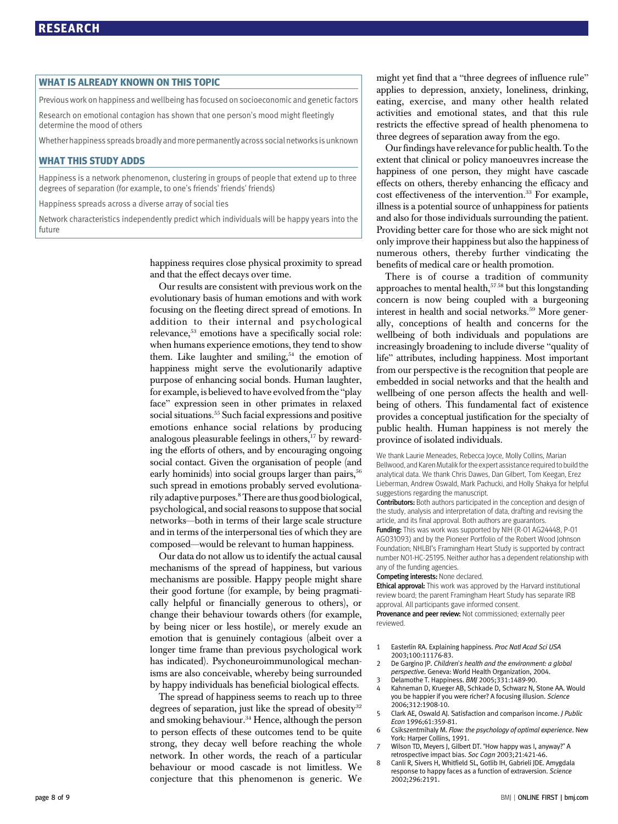Previous work on happiness and wellbeing has focused on socioeconomic and genetic factors

Research on emotional contagion has shown that one person's mood might fleetingly determine the mood of others

Whether happiness spreads broadly and more permanently across social networks is unknown

WHAT THIS STUDY ADDS Happiness is a network phenomenon, clustering in groups of people that extend up to three degrees of separation (for example, to one's friends' friends' friends)

Happiness spreads across a diverse array of social ties

Network characteristics independently predict which individuals will be happy years into the future

> happiness requires close physical proximity to spread and that the effect decays over time.

> Our results are consistent with previous work on the evolutionary basis of human emotions and with work focusing on the fleeting direct spread of emotions. In addition to their internal and psychological relevance,<sup>53</sup> emotions have a specifically social role: when humans experience emotions, they tend to show them. Like laughter and smiling,<sup>54</sup> the emotion of happiness might serve the evolutionarily adaptive purpose of enhancing social bonds. Human laughter, for example, is believed to have evolved from the "play face" expression seen in other primates in relaxed social situations.<sup>55</sup> Such facial expressions and positive emotions enhance social relations by producing analogous pleasurable feelings in others,<sup>17</sup> by rewarding the efforts of others, and by encouraging ongoing social contact. Given the organisation of people (and early hominids) into social groups larger than pairs,<sup>56</sup> such spread in emotions probably served evolutionarily adaptive purposes.<sup>8</sup> There are thus good biological, psychological, and social reasons to suppose that social networks—both in terms of their large scale structure and in terms of the interpersonal ties of which they are composed—would be relevant to human happiness.

> Our data do not allow us to identify the actual causal mechanisms of the spread of happiness, but various mechanisms are possible. Happy people might share their good fortune (for example, by being pragmatically helpful or financially generous to others), or change their behaviour towards others (for example, by being nicer or less hostile), or merely exude an emotion that is genuinely contagious (albeit over a longer time frame than previous psychological work has indicated). Psychoneuroimmunological mechanisms are also conceivable, whereby being surrounded by happy individuals has beneficial biological effects.

> The spread of happiness seems to reach up to three degrees of separation, just like the spread of obesity $32$ and smoking behaviour.<sup>34</sup> Hence, although the person to person effects of these outcomes tend to be quite strong, they decay well before reaching the whole network. In other words, the reach of a particular behaviour or mood cascade is not limitless. We conjecture that this phenomenon is generic. We

might yet find that a "three degrees of influence rule" applies to depression, anxiety, loneliness, drinking, eating, exercise, and many other health related activities and emotional states, and that this rule restricts the effective spread of health phenomena to three degrees of separation away from the ego.

Our findings have relevance for public health. To the extent that clinical or policy manoeuvres increase the happiness of one person, they might have cascade effects on others, thereby enhancing the efficacy and cost effectiveness of the intervention.<sup>33</sup> For example, illness is a potential source of unhappiness for patients and also for those individuals surrounding the patient. Providing better care for those who are sick might not only improve their happiness but also the happiness of numerous others, thereby further vindicating the benefits of medical care or health promotion.

There is of course a tradition of community approaches to mental health,<sup>5758</sup> but this longstanding concern is now being coupled with a burgeoning interest in health and social networks.<sup>59</sup> More generally, conceptions of health and concerns for the wellbeing of both individuals and populations are increasingly broadening to include diverse "quality of life" attributes, including happiness. Most important from our perspective is the recognition that people are embedded in social networks and that the health and wellbeing of one person affects the health and wellbeing of others. This fundamental fact of existence provides a conceptual justification for the specialty of public health. Human happiness is not merely the province of isolated individuals.

We thank Laurie Meneades, Rebecca Joyce, Molly Collins, Marian Bellwood, and Karen Mutalik for the expert assistance required to build the analytical data. We thank Chris Dawes, Dan Gilbert, Tom Keegan, Erez Lieberman, Andrew Oswald, Mark Pachucki, and Holly Shakya for helpful suggestions regarding the manuscript.

Contributors: Both authors participated in the conception and design of the study, analysis and interpretation of data, drafting and revising the article, and its final approval. Both authors are guarantors.

Funding: This was work was supported by NIH (R-01 AG24448, P-01 AG031093) and by the Pioneer Portfolio of the Robert Wood Johnson Foundation; NHLBI's Framingham Heart Study is supported by contract number N01-HC-25195. Neither author has a dependent relationship with any of the funding agencies.

#### Competing interests: None declared.

Ethical approval: This work was approved by the Harvard institutional review board; the parent Framingham Heart Study has separate IRB approval. All participants gave informed consent.

Provenance and peer review: Not commissioned; externally peer reviewed.

- 1 Easterlin RA. Explaining happiness. Proc Natl Acad Sci USA 2003;100:11176-83.
- 2 De Gargino JP. Children's health and the environment: a global perspective. Geneva: World Health Organization, 2004. 3 Delamothe T. Happiness. BMJ 2005;331:1489-90.
- 
- 4 Kahneman D, Krueger AB, Schkade D, Schwarz N, Stone AA. Would you be happier if you were richer? A focusing illusion. Science 2006;312:1908-10.
- 5 Clark AE, Oswald AJ. Satisfaction and comparison income. J Public Econ 1996;61:359-81.
- 6 Csikszentmihaly M. Flow: the psychology of optimal experience. New York: Harper Collins, 1991.
- Wilson TD, Meyers J, Gilbert DT. "How happy was I, anyway?" A retrospective impact bias. Soc Cogn 2003;21:421-46.
- Canli R, Sivers H, Whitfield SL, Gotlib IH, Gabrieli JDE. Amygdala response to happy faces as a function of extraversion. Science 2002;296:2191.